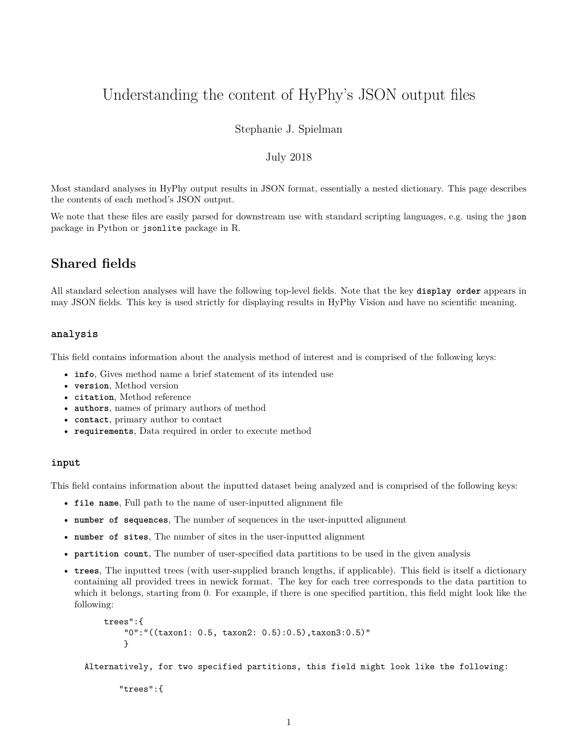# Understanding the content of HyPhy's JSON output files

Stephanie J. Spielman

# July 2018

Most standard analyses in HyPhy output results in [JSON format,](https://en.wikipedia.org/wiki/JSON) essentially a nested dictionary. This page describes the contents of each method's JSON output.

We note that these files are easily parsed for downstream use with standard scripting languages, e.g. using the json package in Python or jsonlite package in R.

# **Shared fields**

All standard selection analyses will have the following top-level fields. Note that the key **display order** appears in may JSON fields. This key is used strictly for displaying results in [HyPhy Vision](vision.hyphy.org) and have no scientific meaning.

#### **analysis**

This field contains information about the analysis method of interest and is comprised of the following keys:

- **info**, Gives method name a brief statement of its intended use
- **version**, Method version
- **citation**, Method reference
- **authors**, names of primary authors of method
- **contact**, primary author to contact
- **requirements**, Data required in order to execute method

#### **input**

This field contains information about the inputted dataset being analyzed and is comprised of the following keys:

- **file name**, Full path to the name of user-inputted alignment file
- **number of sequences**, The number of sequences in the user-inputted alignment
- **number of sites**, The number of sites in the user-inputted alignment
- **partition count**, The number of user-specified data partitions to be used in the given analysis
- **trees**, The inputted trees (with user-supplied branch lengths, if applicable). This field is itself a dictionary containing all provided trees in newick format. The key for each tree corresponds to the data partition to which it belongs, starting from 0. For example, if there is one specified partition, this field might look like the following:

```
trees":{
    "0":"((taxon1: 0.5, taxon2: 0.5):0.5),taxon3:0.5)"
    }
```
Alternatively, for two specified partitions, this field might look like the following:

"trees":{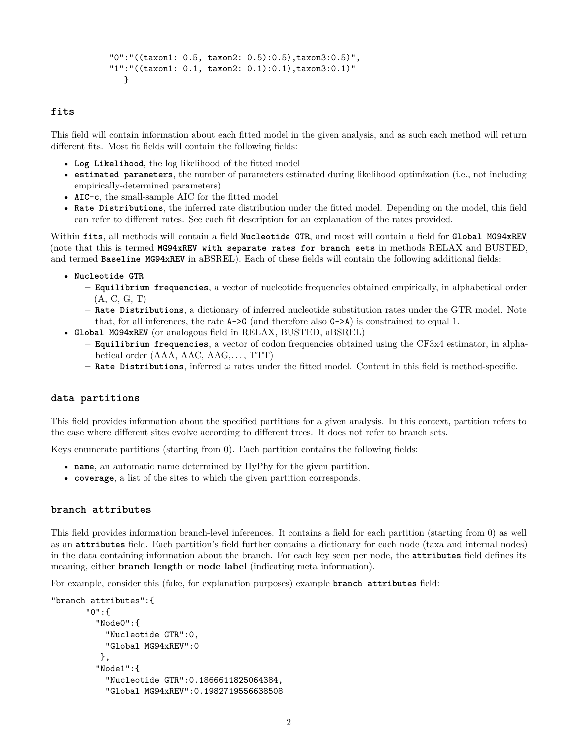```
"0":"((taxon1: 0.5, taxon2: 0.5):0.5),taxon3:0.5)",
"1":"((taxon1: 0.1, taxon2: 0.1):0.1),taxon3:0.1)"
  }
```
# **fits**

This field will contain information about each fitted model in the given analysis, and as such each method will return different fits. Most fit fields will contain the following fields:

- **Log Likelihood**, the log likelihood of the fitted model
- **estimated parameters**, the number of parameters estimated during likelihood optimization (i.e., not including empirically-determined parameters)
- **AIC-c**, the [small-sample AIC](https://en.wikipedia.org/wiki/Akaike_information_criterion#AICc) for the fitted model
- **Rate Distributions**, the inferred rate distribution under the fitted model. Depending on the model, this field can refer to different rates. See each fit description for an explanation of the rates provided.

Within **fits**, all methods will contain a field **Nucleotide GTR**, and most will contain a field for **Global MG94xREV** (note that this is termed **MG94xREV with separate rates for branch sets** in methods RELAX and BUSTED, and termed **Baseline MG94xREV** in aBSREL). Each of these fields will contain the following additional fields:

- **Nucleotide GTR**
	- **– Equilibrium frequencies**, a vector of nucleotide frequencies obtained empirically, in alphabetical order (A, C, G, T)
	- **– Rate Distributions**, a dictionary of inferred nucleotide substitution rates under the GTR model. Note that, for all inferences, the rate  $A \rightarrow G$  (and therefore also  $G \rightarrow A$ ) is constrained to equal 1.
- **Global MG94xREV** (or analogous field in RELAX, BUSTED, aBSREL)
	- **– Equilibrium frequencies**, a vector of codon frequencies obtained using the [CF3x4 estimator,](http://dx.doi.org/10.1371/journal.pone.0011230) in alphabetical order (AAA, AAC, AAG,. . . , TTT)
	- **– Rate Distributions**, inferred *ω* rates under the fitted model. Content in this field is method-specific.

#### **data partitions**

This field provides information about the specified partitions for a given analysis. In this context, partition refers to the case where different sites evolve according to different trees. It does not refer to branch sets.

Keys enumerate partitions (starting from 0). Each partition contains the following fields:

- **name**, an automatic name determined by HyPhy for the given partition.
- **coverage**, a list of the sites to which the given partition corresponds.

#### **branch attributes**

This field provides information branch-level inferences. It contains a field for each partition (starting from 0) as well as an **attributes** field. Each partition's field further contains a dictionary for each node (taxa and internal nodes) in the data containing information about the branch. For each key seen per node, the **attributes** field defines its meaning, either **branch length** or **node label** (indicating meta information).

For example, consider this (fake, for explanation purposes) example **branch attributes** field:

```
"branch attributes":{
       "0":{
         "Node0":{
           "Nucleotide GTR":0,
           "Global MG94xREV":0
          },
         "Node1":{
           "Nucleotide GTR":0.1866611825064384,
           "Global MG94xREV":0.1982719556638508
```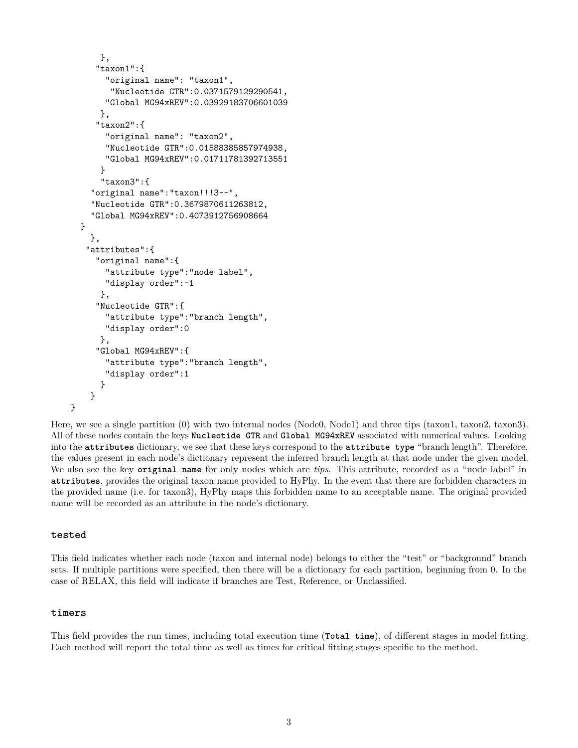```
},
   "taxon1":{
     "original name": "taxon1",
      "Nucleotide GTR":0.0371579129290541,
     "Global MG94xREV":0.03929183706601039
    },
   "taxon2":{
     "original name": "taxon2",
     "Nucleotide GTR":0.01588385857974938,
     "Global MG94xREV":0.01711781392713551
    }
    "taxon3":{
  "original name":"taxon!!!3~~",
  "Nucleotide GTR":0.3679870611263812,
  "Global MG94xREV":0.4073912756908664
}
  },
 "attributes":{
   "original name":{
     "attribute type":"node label",
     "display order":-1
    },
   "Nucleotide GTR":{
     "attribute type":"branch length",
     "display order":0
    },
   "Global MG94xREV":{
     "attribute type":"branch length",
     "display order":1
    }
  }
```
Here, we see a single partition (0) with two internal nodes (Node0, Node1) and three tips (taxon1, taxon2, taxon3). All of these nodes contain the keys **Nucleotide GTR** and **Global MG94xREV** associated with numerical values. Looking into the **attributes** dictionary, we see that these keys correspond to the **attribute type** "branch length". Therefore, the values present in each node's dictionary represent the inferred branch length at that node under the given model. We also see the key **original name** for only nodes which are *tips*. This attribute, recorded as a "node label" in **attributes**, provides the original taxon name provided to HyPhy. In the event that there are forbidden characters in the provided name (i.e. for taxon3), HyPhy maps this forbidden name to an acceptable name. The original provided name will be recorded as an attribute in the node's dictionary.

# **tested**

}

This field indicates whether each node (taxon and internal node) belongs to either the "test" or "background" branch sets. If multiple partitions were specified, then there will be a dictionary for each partition, beginning from 0. In the case of RELAX, this field will indicate if branches are Test, Reference, or Unclassified.

#### **timers**

This field provides the run times, including total execution time (**Total time**), of different stages in model fitting. Each method will report the total time as well as times for critical fitting stages specific to the method.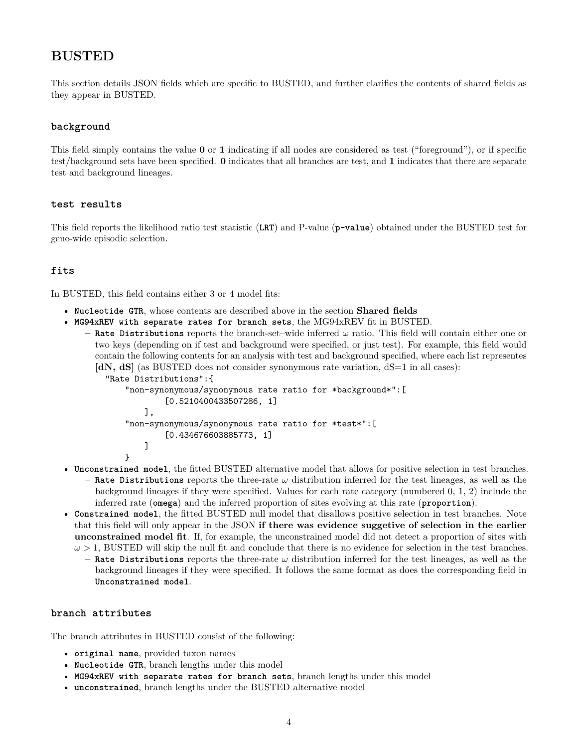# **BUSTED**

This section details JSON fields which are specific to BUSTED, and further clarifies the contents of shared fields as they appear in BUSTED.

# **background**

This field simply contains the value **0** or **1** indicating if all nodes are considered as test ("foreground"), or if specific test/background sets have been specified. **0** indicates that all branches are test, and **1** indicates that there are separate test and background lineages.

# **test results**

This field reports the likelihood ratio test statistic (**LRT**) and P-value (**p-value**) obtained under the BUSTED test for gene-wide episodic selection.

# **fits**

In BUSTED, this field contains either 3 or 4 model fits:

- **Nucleotide GTR**, whose contents are described above in the section **Shared fields**
- **MG94xREV with separate rates for branch sets**, the MG94xREV fit in BUSTED.
	- **– Rate Distributions** reports the branch-set–wide inferred *ω* ratio. This field will contain either one or two keys (depending on if test and background were specified, or just test). For example, this field would contain the following contents for an analysis with test and background specified, where each list representes **[dN, dS]** (as BUSTED does not consider synonymous rate variation, dS=1 in all cases):

```
"Rate Distributions":{
    "non-synonymous/synonymous rate ratio for *background*":[
            [0.5210400433507286, 1]
        ],
    "non-synonymous/synonymous rate ratio for *test*":[
            [0.434676603885773, 1]
        ]
   }
```
- **Unconstrained model**, the fitted BUSTED alternative model that allows for positive selection in test branches. **– Rate Distributions** reports the three-rate *ω* distribution inferred for the test lineages, as well as the background lineages if they were specified. Values for each rate category (numbered 0, 1, 2) include the inferred rate (**omega**) and the inferred proportion of sites evolving at this rate (**proportion**).
- **Constrained model**, the fitted BUSTED null model that disallows positive selection in test branches. Note that this field will only appear in the JSON **if there was evidence suggetive of selection in the earlier unconstrained model fit**. If, for example, the unconstrained model did not detect a proportion of sites with
	- $\omega > 1$ , BUSTED will skip the null fit and conclude that there is no evidence for selection in the test branches. **– Rate Distributions** reports the three-rate *ω* distribution inferred for the test lineages, as well as the background lineages if they were specified. It follows the same format as does the corresponding field in **Unconstrained model**.

# **branch attributes**

The branch attributes in BUSTED consist of the following:

- **original name**, provided taxon names
- **Nucleotide GTR**, branch lengths under this model
- **MG94xREV with separate rates for branch sets**, branch lengths under this model
- **unconstrained**, branch lengths under the BUSTED alternative model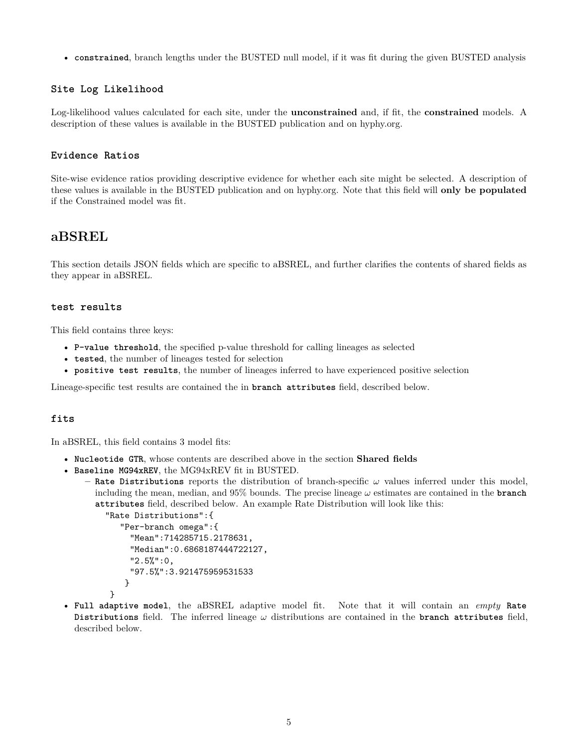• **constrained**, branch lengths under the BUSTED null model, if it was fit during the given BUSTED analysis

# **Site Log Likelihood**

Log-likelihood values calculated for each site, under the **unconstrained** and, if fit, the **constrained** models. A description of these values is available in the BUSTED publication and on [hyphy.org.](http://hyphy.org/methods/selection-methods/#busted)

# **Evidence Ratios**

Site-wise evidence ratios providing descriptive evidence for whether each site might be selected. A description of these values is available in the BUSTED publication and on [hyphy.org.](http://hyphy.org/methods/selection-methods/#busted) Note that this field will **only be populated** if the Constrained model was fit.

# **aBSREL**

This section details JSON fields which are specific to aBSREL, and further clarifies the contents of shared fields as they appear in aBSREL.

# **test results**

This field contains three keys:

- **P-value threshold**, the specified p-value threshold for calling lineages as selected
- **tested**, the number of lineages tested for selection
- **positive test results**, the number of lineages inferred to have experienced positive selection

Lineage-specific test results are contained the in **branch attributes** field, described below.

#### **fits**

In aBSREL, this field contains 3 model fits:

- **Nucleotide GTR**, whose contents are described above in the section **Shared fields**
- **Baseline MG94xREV**, the MG94xREV fit in BUSTED.
	- **– Rate Distributions** reports the distribution of branch-specific *ω* values inferred under this model, including the mean, median, and 95% bounds. The precise lineage *ω* estimates are contained in the **branch attributes** field, described below. An example Rate Distribution will look like this:

```
"Rate Distributions":{
   "Per-branch omega":{
     "Mean":714285715.2178631,
     "Median":0.6868187444722127,
     "2.5%":0,
     "97.5%":3.921475959531533
    }
}
```
- 
- **Full adaptive model**, the aBSREL adaptive model fit. Note that it will contain an *empty* **Rate Distributions** field. The inferred lineage *ω* distributions are contained in the **branch attributes** field, described below.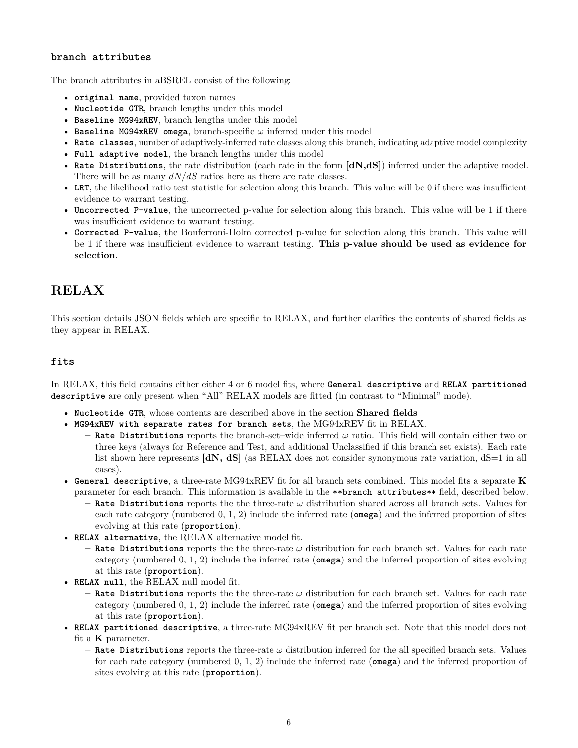# **branch attributes**

The branch attributes in aBSREL consist of the following:

- **original name**, provided taxon names
- **Nucleotide GTR**, branch lengths under this model
- **Baseline MG94xREV**, branch lengths under this model
- **Baseline MG94xREV omega**, branch-specific *ω* inferred under this model
- **Rate classes**, number of adaptively-inferred rate classes along this branch, indicating adaptive model complexity
- **Full adaptive model**, the branch lengths under this model
- **Rate Distributions**, the rate distribution (each rate in the form **[dN,dS]**) inferred under the adaptive model. There will be as many *dN/dS* ratios here as there are rate classes.
- **LRT**, the likelihood ratio test statistic for selection along this branch. This value will be 0 if there was insufficient evidence to warrant testing.
- **Uncorrected P-value**, the uncorrected p-value for selection along this branch. This value will be 1 if there was insufficient evidence to warrant testing.
- **Corrected P-value**, the Bonferroni-Holm corrected p-value for selection along this branch. This value will be 1 if there was insufficient evidence to warrant testing. **This p-value should be used as evidence for selection**.

# **RELAX**

This section details JSON fields which are specific to RELAX, and further clarifies the contents of shared fields as they appear in RELAX.

# **fits**

In RELAX, this field contains either either 4 or 6 model fits, where **General descriptive** and **RELAX partitioned descriptive** are only present when "All" RELAX models are fitted (in contrast to "Minimal" mode).

- **Nucleotide GTR**, whose contents are described above in the section **Shared fields**
- **MG94xREV with separate rates for branch sets**, the MG94xREV fit in RELAX.
	- **– Rate Distributions** reports the branch-set–wide inferred *ω* ratio. This field will contain either two or three keys (always for Reference and Test, and additional Unclassified if this branch set exists). Each rate list shown here represents **[dN, dS]** (as RELAX does not consider synonymous rate variation, dS=1 in all cases).
- **General descriptive**, a three-rate MG94xREV fit for all branch sets combined. This model fits a separate **K** parameter for each branch. This information is available in the \*\*branch attributes\*\* field, described below.
	- **– Rate Distributions** reports the the three-rate *ω* distribution shared across all branch sets. Values for each rate category (numbered 0, 1, 2) include the inferred rate (**omega**) and the inferred proportion of sites evolving at this rate (**proportion**).
- **RELAX alternative**, the RELAX alternative model fit.
	- **– Rate Distributions** reports the the three-rate *ω* distribution for each branch set. Values for each rate category (numbered 0, 1, 2) include the inferred rate (**omega**) and the inferred proportion of sites evolving at this rate (**proportion**).
- **RELAX null**, the RELAX null model fit.
	- **– Rate Distributions** reports the the three-rate *ω* distribution for each branch set. Values for each rate category (numbered 0, 1, 2) include the inferred rate (**omega**) and the inferred proportion of sites evolving at this rate (**proportion**).
- **RELAX partitioned descriptive**, a three-rate MG94xREV fit per branch set. Note that this model does not fit a **K** parameter.
	- **– Rate Distributions** reports the three-rate *ω* distribution inferred for the all specified branch sets. Values for each rate category (numbered 0, 1, 2) include the inferred rate (**omega**) and the inferred proportion of sites evolving at this rate (**proportion**).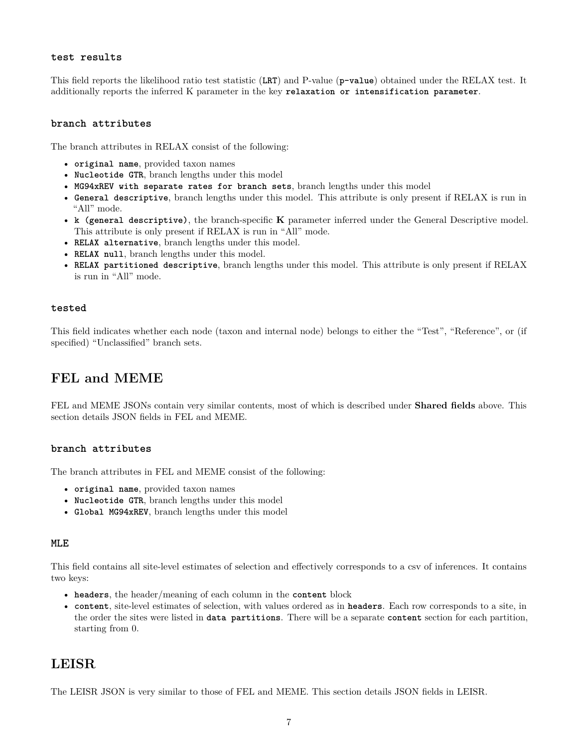#### **test results**

This field reports the likelihood ratio test statistic (**LRT**) and P-value (**p-value**) obtained under the RELAX test. It additionally reports the inferred K parameter in the key **relaxation or intensification parameter**.

#### **branch attributes**

The branch attributes in RELAX consist of the following:

- **original name**, provided taxon names
- **Nucleotide GTR**, branch lengths under this model
- **MG94xREV with separate rates for branch sets**, branch lengths under this model
- **General descriptive**, branch lengths under this model. This attribute is only present if RELAX is run in "All" mode.
- **k (general descriptive)**, the branch-specific **K** parameter inferred under the General Descriptive model. This attribute is only present if RELAX is run in "All" mode.
- **RELAX alternative**, branch lengths under this model.
- **RELAX null**, branch lengths under this model.
- **RELAX partitioned descriptive**, branch lengths under this model. This attribute is only present if RELAX is run in "All" mode.

#### **tested**

This field indicates whether each node (taxon and internal node) belongs to either the "Test", "Reference", or (if specified) "Unclassified" branch sets.

# **FEL and MEME**

FEL and MEME JSONs contain very similar contents, most of which is described under **Shared fields** above. This section details JSON fields in FEL and MEME.

# **branch attributes**

The branch attributes in FEL and MEME consist of the following:

- **original name**, provided taxon names
- **Nucleotide GTR**, branch lengths under this model
- **Global MG94xREV**, branch lengths under this model

# **MLE**

This field contains all site-level estimates of selection and effectively corresponds to a csv of inferences. It contains two keys:

- **headers**, the header/meaning of each column in the **content** block
- **content**, site-level estimates of selection, with values ordered as in **headers**. Each row corresponds to a site, in the order the sites were listed in **data partitions**. There will be a separate **content** section for each partition, starting from 0.

# **LEISR**

The LEISR JSON is very similar to those of FEL and MEME. This section details JSON fields in LEISR.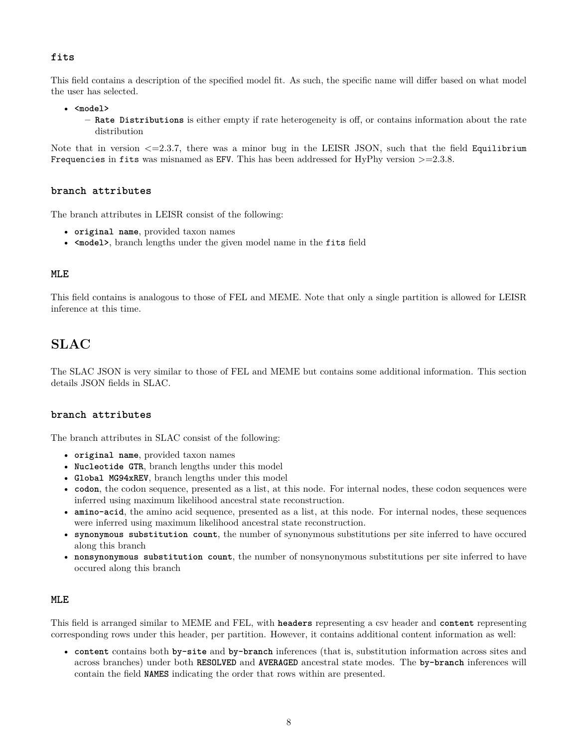# **fits**

This field contains a description of the specified model fit. As such, the specific name will differ based on what model the user has selected.

• **<model>**

**– Rate Distributions** is either empty if rate heterogeneity is off, or contains information about the rate distribution

Note that in version  $\leq$  = 2.3.7, there was a minor bug in the LEISR JSON, such that the field Equilibrium Frequencies in fits was misnamed as EFV. This has been addressed for HyPhy version  $>=2.3.8$ .

# **branch attributes**

The branch attributes in LEISR consist of the following:

- **original name**, provided taxon names
- **<model>**, branch lengths under the given model name in the fits field

# **MLE**

This field contains is analogous to those of FEL and MEME. Note that only a single partition is allowed for LEISR inference at this time.

# **SLAC**

The SLAC JSON is very similar to those of FEL and MEME but contains some additional information. This section details JSON fields in SLAC.

# **branch attributes**

The branch attributes in SLAC consist of the following:

- **original name**, provided taxon names
- **Nucleotide GTR**, branch lengths under this model
- **Global MG94xREV**, branch lengths under this model
- **codon**, the codon sequence, presented as a list, at this node. For internal nodes, these codon sequences were inferred using maximum likelihood ancestral state reconstruction.
- **amino-acid**, the amino acid sequence, presented as a list, at this node. For internal nodes, these sequences were inferred using maximum likelihood ancestral state reconstruction.
- **synonymous substitution count**, the number of synonymous substitutions per site inferred to have occured along this branch
- **nonsynonymous substitution count**, the number of nonsynonymous substitutions per site inferred to have occured along this branch

#### **MLE**

This field is arranged similar to MEME and FEL, with **headers** representing a csv header and **content** representing corresponding rows under this header, per partition. However, it contains additional content information as well:

• **content** contains both **by-site** and **by-branch** inferences (that is, substitution information across sites and across branches) under both **RESOLVED** and **AVERAGED** ancestral state modes. The **by-branch** inferences will contain the field **NAMES** indicating the order that rows within are presented.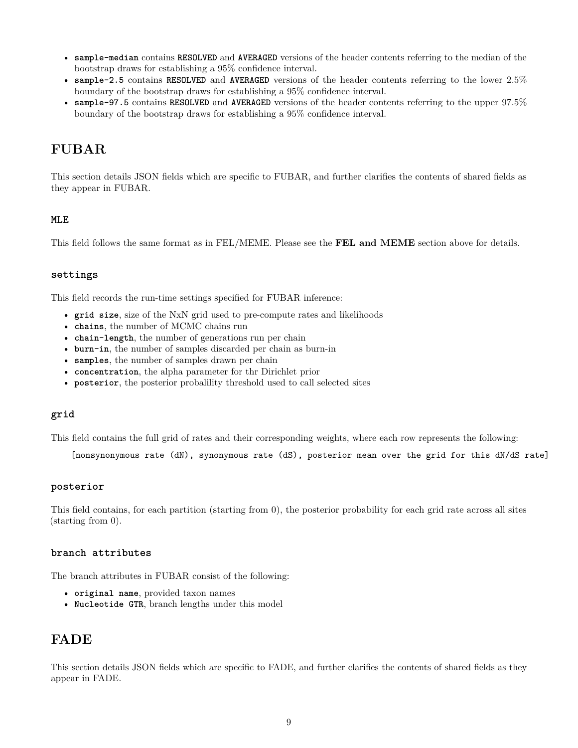- **sample-median** contains **RESOLVED** and **AVERAGED** versions of the header contents referring to the median of the bootstrap draws for establishing a 95% confidence interval.
- **sample-2.5** contains **RESOLVED** and **AVERAGED** versions of the header contents referring to the lower 2.5% boundary of the bootstrap draws for establishing a 95% confidence interval.
- **sample-97.5** contains **RESOLVED** and **AVERAGED** versions of the header contents referring to the upper 97.5% boundary of the bootstrap draws for establishing a 95% confidence interval.

# **FUBAR**

This section details JSON fields which are specific to FUBAR, and further clarifies the contents of shared fields as they appear in FUBAR.

# **MLE**

This field follows the same format as in FEL/MEME. Please see the **FEL and MEME** section above for details.

# **settings**

This field records the run-time settings specified for FUBAR inference:

- **grid size**, size of the NxN grid used to pre-compute rates and likelihoods
- **chains**, the number of MCMC chains run
- **chain-length**, the number of generations run per chain
- **burn-in**, the number of samples discarded per chain as burn-in
- **samples**, the number of samples drawn per chain
- **concentration**, the alpha parameter for thr Dirichlet prior
- **posterior**, the posterior probalility threshold used to call selected sites

# **grid**

This field contains the full grid of rates and their corresponding weights, where each row represents the following:

[nonsynonymous rate (dN), synonymous rate (dS), posterior mean over the grid for this dN/dS rate]

#### **posterior**

This field contains, for each partition (starting from 0), the posterior probability for each grid rate across all sites (starting from 0).

# **branch attributes**

The branch attributes in FUBAR consist of the following:

- **original name**, provided taxon names
- **Nucleotide GTR**, branch lengths under this model

# **FADE**

This section details JSON fields which are specific to FADE, and further clarifies the contents of shared fields as they appear in FADE.